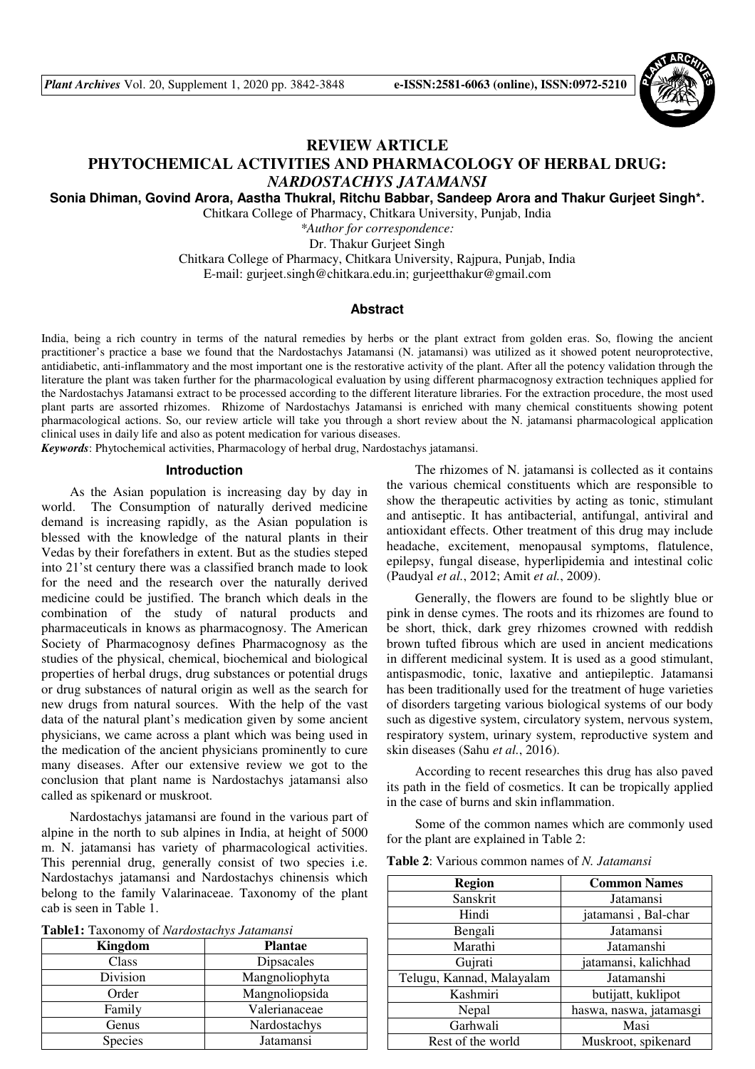*Plant Archives* Vol. 20, Supplement 1, 2020 pp. 3842-3848 **e-ISSN:2581-6063 (online), ISSN:0972-5210**



## **REVIEW ARTICLE**

# **PHYTOCHEMICAL ACTIVITIES AND PHARMACOLOGY OF HERBAL DRUG:**  *NARDOSTACHYS JATAMANSI*

**Sonia Dhiman, Govind Arora, Aastha Thukral, Ritchu Babbar, Sandeep Arora and Thakur Gurjeet Singh\*.** 

Chitkara College of Pharmacy, Chitkara University, Punjab, India

*\*Author for correspondence:*  Dr. Thakur Gurjeet Singh

Chitkara College of Pharmacy, Chitkara University, Rajpura, Punjab, India

E-mail: gurjeet.singh@chitkara.edu.in; gurjeetthakur@gmail.com

#### **Abstract**

India, being a rich country in terms of the natural remedies by herbs or the plant extract from golden eras. So, flowing the ancient practitioner's practice a base we found that the Nardostachys Jatamansi (N. jatamansi) was utilized as it showed potent neuroprotective, antidiabetic, anti-inflammatory and the most important one is the restorative activity of the plant. After all the potency validation through the literature the plant was taken further for the pharmacological evaluation by using different pharmacognosy extraction techniques applied for the Nardostachys Jatamansi extract to be processed according to the different literature libraries. For the extraction procedure, the most used plant parts are assorted rhizomes. Rhizome of Nardostachys Jatamansi is enriched with many chemical constituents showing potent pharmacological actions. So, our review article will take you through a short review about the N. jatamansi pharmacological application clinical uses in daily life and also as potent medication for various diseases.

*Keywords*: Phytochemical activities, Pharmacology of herbal drug, Nardostachys jatamansi.

#### **Introduction**

As the Asian population is increasing day by day in world. The Consumption of naturally derived medicine demand is increasing rapidly, as the Asian population is blessed with the knowledge of the natural plants in their Vedas by their forefathers in extent. But as the studies steped into 21'st century there was a classified branch made to look for the need and the research over the naturally derived medicine could be justified. The branch which deals in the combination of the study of natural products and pharmaceuticals in knows as pharmacognosy. The American Society of Pharmacognosy defines Pharmacognosy as the studies of the physical, chemical, biochemical and biological properties of herbal drugs, drug substances or potential drugs or drug substances of natural origin as well as the search for new drugs from natural sources. With the help of the vast data of the natural plant's medication given by some ancient physicians, we came across a plant which was being used in the medication of the ancient physicians prominently to cure many diseases. After our extensive review we got to the conclusion that plant name is Nardostachys jatamansi also called as spikenard or muskroot.

Nardostachys jatamansi are found in the various part of alpine in the north to sub alpines in India, at height of 5000 m. N. jatamansi has variety of pharmacological activities. This perennial drug, generally consist of two species i.e. Nardostachys jatamansi and Nardostachys chinensis which belong to the family Valarinaceae. Taxonomy of the plant cab is seen in Table 1.

| <b>Kingdom</b> | <b>Plantae</b>    |  |
|----------------|-------------------|--|
| Class          | <b>Dipsacales</b> |  |
| Division       | Mangnoliophyta    |  |
| Order          | Mangnoliopsida    |  |
| Family         | Valerianaceae     |  |
| Genus          | Nardostachys      |  |
| Species        | Jatamansi         |  |

The rhizomes of N. jatamansi is collected as it contains the various chemical constituents which are responsible to show the therapeutic activities by acting as tonic, stimulant and antiseptic. It has antibacterial, antifungal, antiviral and antioxidant effects. Other treatment of this drug may include headache, excitement, menopausal symptoms, flatulence, epilepsy, fungal disease, hyperlipidemia and intestinal colic (Paudyal *et al.*, 2012; Amit *et al.*, 2009).

Generally, the flowers are found to be slightly blue or pink in dense cymes. The roots and its rhizomes are found to be short, thick, dark grey rhizomes crowned with reddish brown tufted fibrous which are used in ancient medications in different medicinal system. It is used as a good stimulant, antispasmodic, tonic, laxative and antiepileptic. Jatamansi has been traditionally used for the treatment of huge varieties of disorders targeting various biological systems of our body such as digestive system, circulatory system, nervous system, respiratory system, urinary system, reproductive system and skin diseases (Sahu *et al.*, 2016).

According to recent researches this drug has also paved its path in the field of cosmetics. It can be tropically applied in the case of burns and skin inflammation.

Some of the common names which are commonly used for the plant are explained in Table 2:

| <b>Table 2:</b> Various common names of N. Jatamansi |  |  |  |
|------------------------------------------------------|--|--|--|
|------------------------------------------------------|--|--|--|

| <b>Region</b>             | <b>Common Names</b>     |  |
|---------------------------|-------------------------|--|
| Sanskrit                  | Jatamansi               |  |
| Hindi                     | jatamansi, Bal-char     |  |
| Bengali                   | Jatamansi               |  |
| Marathi                   | Jatamanshi              |  |
| Gujrati                   | jatamansi, kalichhad    |  |
| Telugu, Kannad, Malayalam | Jatamanshi              |  |
| Kashmiri                  | butijatt, kuklipot      |  |
| Nepal                     | haswa, naswa, jatamasgi |  |
| Garhwali                  | Masi                    |  |
| Rest of the world         | Muskroot, spikenard     |  |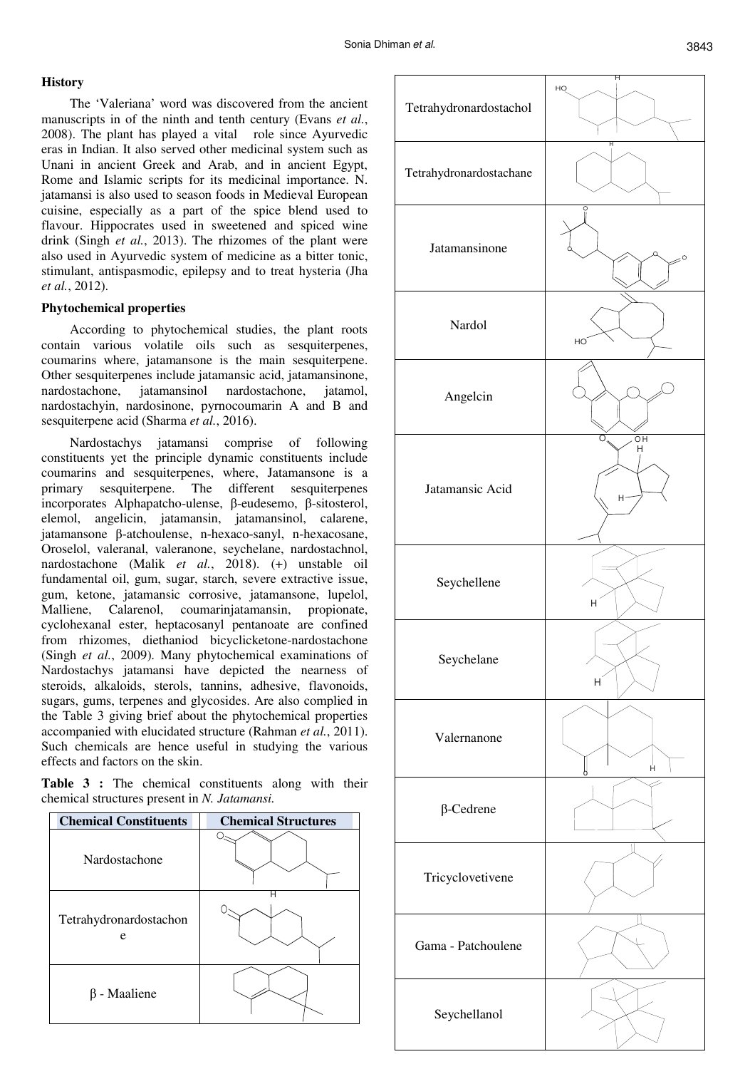## **History**

The 'Valeriana' word was discovered from the ancient manuscripts in of the ninth and tenth century (Evans *et al.*, 2008). The plant has played a vital role since Ayurvedic eras in Indian. It also served other medicinal system such as Unani in ancient Greek and Arab, and in ancient Egypt, Rome and Islamic scripts for its medicinal importance. N. jatamansi is also used to season foods in Medieval European cuisine, especially as a part of the spice blend used to flavour. Hippocrates used in sweetened and spiced wine drink (Singh *et al.*, 2013). The rhizomes of the plant were also used in Ayurvedic system of medicine as a bitter tonic, stimulant, antispasmodic, epilepsy and to treat hysteria (Jha *et al.*, 2012).

## **Phytochemical properties**

According to phytochemical studies, the plant roots contain various volatile oils such as sesquiterpenes, coumarins where, jatamansone is the main sesquiterpene. Other sesquiterpenes include jatamansic acid, jatamansinone, nardostachone, jatamansinol nardostachone, jatamol, nardostachyin, nardosinone, pyrnocoumarin A and B and sesquiterpene acid (Sharma *et al.*, 2016).

Nardostachys jatamansi comprise of following constituents yet the principle dynamic constituents include coumarins and sesquiterpenes, where, Jatamansone is a primary sesquiterpene. The different sesquiterpenes incorporates Alphapatcho-ulense, β-eudesemo, β-sitosterol, elemol, angelicin, jatamansin, jatamansinol, calarene, jatamansone β-atchoulense, n-hexaco-sanyl, n-hexacosane, Oroselol, valeranal, valeranone, seychelane, nardostachnol, nardostachone (Malik *et al.*, 2018). (+) unstable oil fundamental oil, gum, sugar, starch, severe extractive issue, gum, ketone, jatamansic corrosive, jatamansone, lupelol, Malliene, Calarenol, coumarinjatamansin, propionate, cyclohexanal ester, heptacosanyl pentanoate are confined from rhizomes, diethaniod bicyclicketone-nardostachone (Singh *et al.*, 2009). Many phytochemical examinations of Nardostachys jatamansi have depicted the nearness of steroids, alkaloids, sterols, tannins, adhesive, flavonoids, sugars, gums, terpenes and glycosides. Are also complied in the Table 3 giving brief about the phytochemical properties accompanied with elucidated structure (Rahman *et al.*, 2011). Such chemicals are hence useful in studying the various effects and factors on the skin.

**Table 3 :** The chemical constituents along with their chemical structures present in *N. Jatamansi.* 



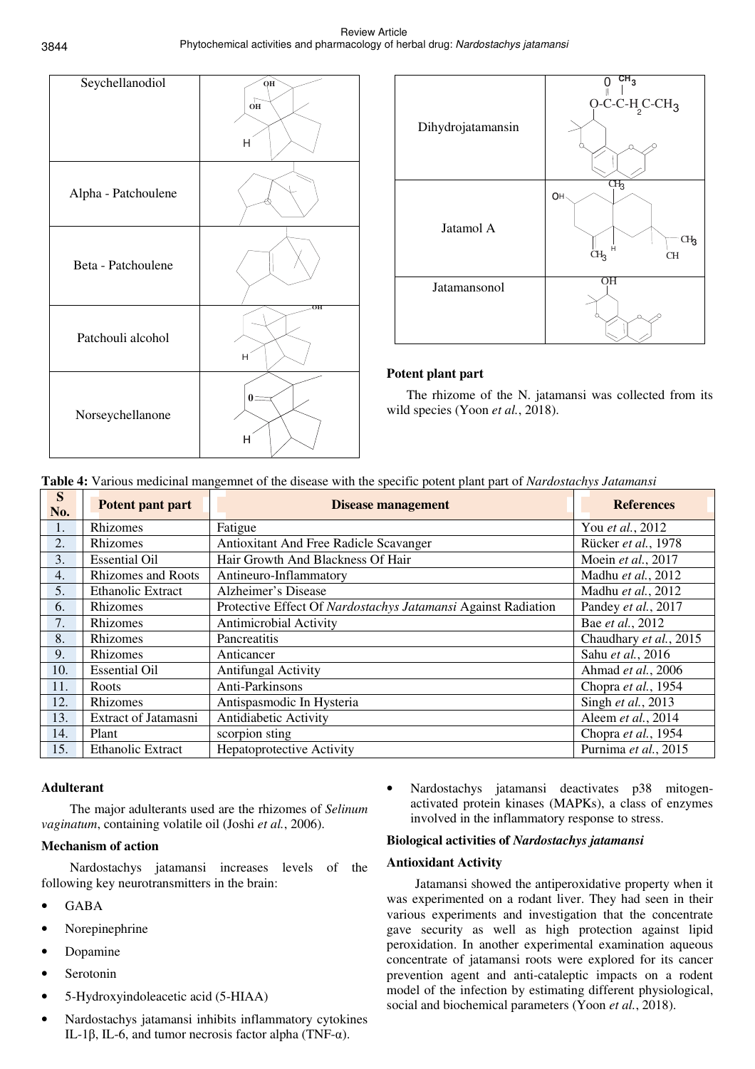| Seychellanodiol     | QH<br>$\sqrt{\frac{1}{10}}$<br>н |
|---------------------|----------------------------------|
| Alpha - Patchoulene |                                  |
| Beta - Patchoulene  |                                  |
| Patchouli alcohol   | OН<br>H                          |
| Norseychellanone    | н                                |



## **Potent plant part**

 The rhizome of the N. jatamansi was collected from its wild species (Yoon *et al.*, 2018).

| S<br>No. | Potent pant part          | O.<br><b>Disease management</b>                               | <b>References</b>      |
|----------|---------------------------|---------------------------------------------------------------|------------------------|
| 1.       | Rhizomes                  | Fatigue                                                       | You et al., 2012       |
| 2.       | Rhizomes                  | Antioxitant And Free Radicle Scavanger                        | Rücker et al., 1978    |
| 3.       | <b>Essential Oil</b>      | Hair Growth And Blackness Of Hair                             | Moein et al., 2017     |
| 4.       | <b>Rhizomes and Roots</b> | Antineuro-Inflammatory                                        | Madhu et al., 2012     |
| 5.       | <b>Ethanolic Extract</b>  | Alzheimer's Disease                                           | Madhu et al., 2012     |
| 6.       | Rhizomes                  | Protective Effect Of Nardostachys Jatamansi Against Radiation | Pandey et al., 2017    |
| 7.       | Rhizomes                  | Antimicrobial Activity                                        | Bae et al., 2012       |
| 8.       | Rhizomes                  | Pancreatitis                                                  | Chaudhary et al., 2015 |
| 9.       | Rhizomes                  | Anticancer                                                    | Sahu et al., 2016      |
| 10.      | <b>Essential Oil</b>      | <b>Antifungal Activity</b>                                    | Ahmad et al., 2006     |
| 11.      | Roots                     | Anti-Parkinsons                                               | Chopra et al., 1954    |
| 12.      | Rhizomes                  | Antispasmodic In Hysteria                                     | Singh et al., 2013     |
| 13.      | Extract of Jatamasni      | Antidiabetic Activity                                         | Aleem et al., 2014     |
| 14.      | Plant                     | scorpion sting                                                | Chopra et al., 1954    |
| 15.      | <b>Ethanolic Extract</b>  | <b>Hepatoprotective Activity</b>                              | Purnima et al., 2015   |

## **Table 4:** Various medicinal mangemnet of the disease with the specific potent plant part of *Nardostachys Jatamansi*

## **Adulterant**

The major adulterants used are the rhizomes of *Selinum vaginatum*, containing volatile oil (Joshi *et al.*, 2006).

## **Mechanism of action**

Nardostachys jatamansi increases levels of the following key neurotransmitters in the brain:

- GABA
- Norepinephrine
- Dopamine
- **Serotonin**
- 5-Hydroxyindoleacetic acid (5-HIAA)
- Nardostachys jatamansi inhibits inflammatory cytokines IL-1β, IL-6, and tumor necrosis factor alpha (TNF-α).

• Nardostachys jatamansi deactivates p38 mitogenactivated protein kinases (MAPKs), a class of enzymes involved in the inflammatory response to stress.

## **Biological activities of** *Nardostachys jatamansi*

### **Antioxidant Activity**

Jatamansi showed the antiperoxidative property when it was experimented on a rodant liver. They had seen in their various experiments and investigation that the concentrate gave security as well as high protection against lipid peroxidation. In another experimental examination aqueous concentrate of jatamansi roots were explored for its cancer prevention agent and anti-cataleptic impacts on a rodent model of the infection by estimating different physiological, social and biochemical parameters (Yoon *et al.*, 2018).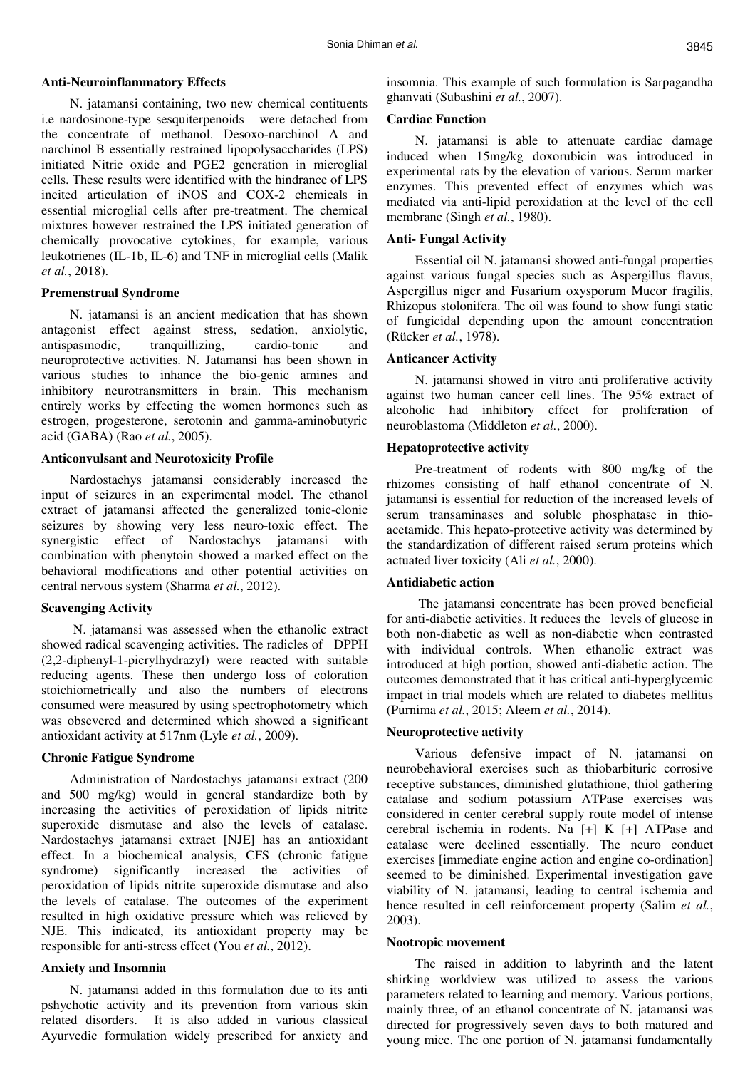#### **Anti-Neuroinflammatory Effects**

N. jatamansi containing, two new chemical contituents i.e nardosinone-type sesquiterpenoids were detached from the concentrate of methanol. Desoxo-narchinol A and narchinol B essentially restrained lipopolysaccharides (LPS) initiated Nitric oxide and PGE2 generation in microglial cells. These results were identified with the hindrance of LPS incited articulation of iNOS and COX-2 chemicals in essential microglial cells after pre-treatment. The chemical mixtures however restrained the LPS initiated generation of chemically provocative cytokines, for example, various leukotrienes (IL-1b, IL-6) and TNF in microglial cells (Malik *et al.*, 2018).

#### **Premenstrual Syndrome**

N. jatamansi is an ancient medication that has shown antagonist effect against stress, sedation, anxiolytic, antispasmodic, tranquillizing, cardio-tonic and neuroprotective activities. N. Jatamansi has been shown in various studies to inhance the bio-genic amines and inhibitory neurotransmitters in brain. This mechanism entirely works by effecting the women hormones such as estrogen, progesterone, serotonin and gamma-aminobutyric acid (GABA) (Rao *et al.*, 2005).

#### **Anticonvulsant and Neurotoxicity Profile**

Nardostachys jatamansi considerably increased the input of seizures in an experimental model. The ethanol extract of jatamansi affected the generalized tonic-clonic seizures by showing very less neuro-toxic effect. The synergistic effect of Nardostachys jatamansi with combination with phenytoin showed a marked effect on the behavioral modifications and other potential activities on central nervous system (Sharma *et al.*, 2012).

#### **Scavenging Activity**

 N. jatamansi was assessed when the ethanolic extract showed radical scavenging activities. The radicles of DPPH (2,2-diphenyl-1-picrylhydrazyl) were reacted with suitable reducing agents. These then undergo loss of coloration stoichiometrically and also the numbers of electrons consumed were measured by using spectrophotometry which was obsevered and determined which showed a significant antioxidant activity at 517nm (Lyle *et al.*, 2009).

#### **Chronic Fatigue Syndrome**

Administration of Nardostachys jatamansi extract (200 and 500 mg/kg) would in general standardize both by increasing the activities of peroxidation of lipids nitrite superoxide dismutase and also the levels of catalase. Nardostachys jatamansi extract [NJE] has an antioxidant effect. In a biochemical analysis, CFS (chronic fatigue syndrome) significantly increased the activities of peroxidation of lipids nitrite superoxide dismutase and also the levels of catalase. The outcomes of the experiment resulted in high oxidative pressure which was relieved by NJE. This indicated, its antioxidant property may be responsible for anti-stress effect (You *et al.*, 2012).

#### **Anxiety and Insomnia**

N. jatamansi added in this formulation due to its anti pshychotic activity and its prevention from various skin related disorders. It is also added in various classical Ayurvedic formulation widely prescribed for anxiety and insomnia. This example of such formulation is Sarpagandha ghanvati (Subashini *et al.*, 2007).

### **Cardiac Function**

N. jatamansi is able to attenuate cardiac damage induced when 15mg/kg doxorubicin was introduced in experimental rats by the elevation of various. Serum marker enzymes. This prevented effect of enzymes which was mediated via anti-lipid peroxidation at the level of the cell membrane (Singh *et al.*, 1980).

### **Anti- Fungal Activity**

Essential oil N. jatamansi showed anti-fungal properties against various fungal species such as Aspergillus flavus, Aspergillus niger and Fusarium oxysporum Mucor fragilis, Rhizopus stolonifera. The oil was found to show fungi static of fungicidal depending upon the amount concentration (Rücker *et al.*, 1978).

#### **Anticancer Activity**

N. jatamansi showed in vitro anti proliferative activity against two human cancer cell lines. The 95% extract of alcoholic had inhibitory effect for proliferation of neuroblastoma (Middleton *et al.*, 2000).

#### **Hepatoprotective activity**

Pre-treatment of rodents with 800 mg/kg of the rhizomes consisting of half ethanol concentrate of N. jatamansi is essential for reduction of the increased levels of serum transaminases and soluble phosphatase in thioacetamide. This hepato-protective activity was determined by the standardization of different raised serum proteins which actuated liver toxicity (Ali *et al.*, 2000).

#### **Antidiabetic action**

 The jatamansi concentrate has been proved beneficial for anti-diabetic activities. It reduces the levels of glucose in both non-diabetic as well as non-diabetic when contrasted with individual controls. When ethanolic extract was introduced at high portion, showed anti-diabetic action. The outcomes demonstrated that it has critical anti-hyperglycemic impact in trial models which are related to diabetes mellitus (Purnima *et al.*, 2015; Aleem *et al.*, 2014).

#### **Neuroprotective activity**

Various defensive impact of N. jatamansi on neurobehavioral exercises such as thiobarbituric corrosive receptive substances, diminished glutathione, thiol gathering catalase and sodium potassium ATPase exercises was considered in center cerebral supply route model of intense cerebral ischemia in rodents. Na [+] K [+] ATPase and catalase were declined essentially. The neuro conduct exercises [immediate engine action and engine co-ordination] seemed to be diminished. Experimental investigation gave viability of N. jatamansi, leading to central ischemia and hence resulted in cell reinforcement property (Salim *et al.*, 2003).

#### **Nootropic movement**

The raised in addition to labyrinth and the latent shirking worldview was utilized to assess the various parameters related to learning and memory. Various portions, mainly three, of an ethanol concentrate of N. jatamansi was directed for progressively seven days to both matured and young mice. The one portion of N. jatamansi fundamentally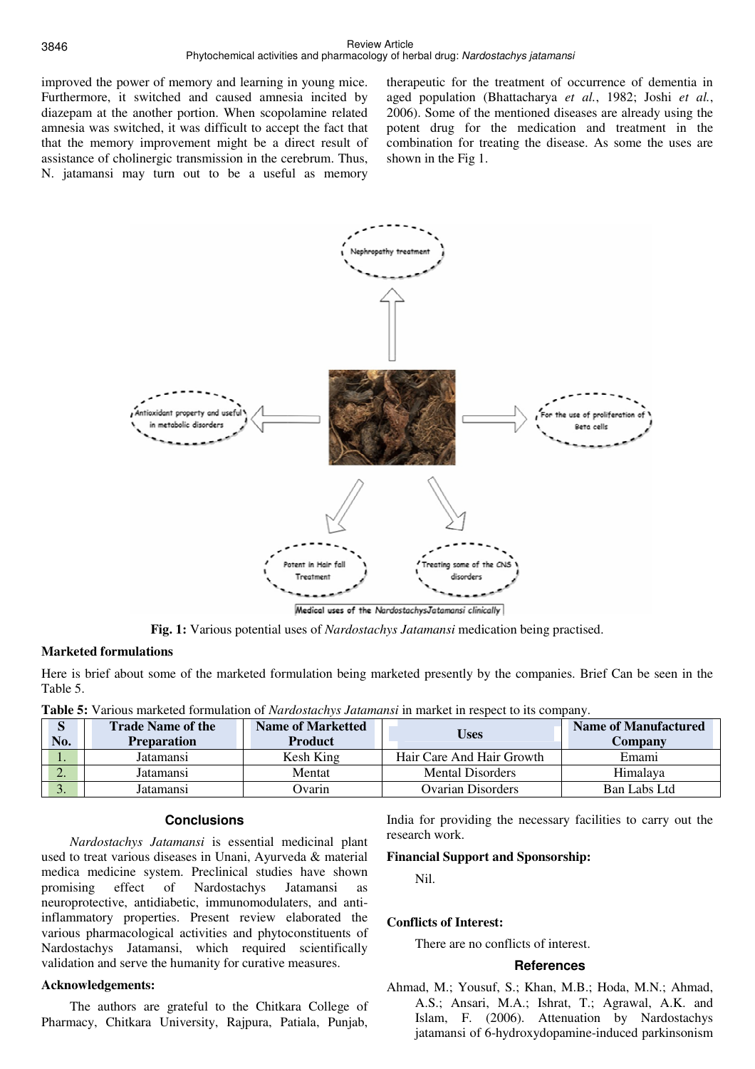improved the power of memory and learning in young mice. Furthermore, it switched and caused amnesia incited by diazepam at the another portion. When scopolamine related amnesia was switched, it was difficult to accept the fact that that the memory improvement might be a direct result of assistance of cholinergic transmission in the cerebrum. Thus, N. jatamansi may turn out to be a useful as memory therapeutic for the treatment of occurrence of dementia in aged population (Bhattacharya *et al.*, 1982; Joshi *et al.*, 2006). Some of the mentioned diseases are already using the potent drug for the medication and treatment in the combination for treating the disease. As some the uses are shown in the Fig 1.



**Fig. 1:** Various potential uses of *Nardostachys Jatamansi* medication being practised.

## **Marketed formulations**

Here is brief about some of the marketed formulation being marketed presently by the companies. Brief Can be seen in the Table 5.

| <b>Table 5:</b> Various marketed formulation of <i>Nardostachys Jatamansi</i> in market in respect to its company. |  |
|--------------------------------------------------------------------------------------------------------------------|--|
|--------------------------------------------------------------------------------------------------------------------|--|

| S<br>No. | <b>Trade Name of the</b><br><b>Preparation</b> | <b>Name of Marketted</b><br><b>Product</b> | <b>Uses</b>               | Name of Manufactured<br><b>Company</b> |
|----------|------------------------------------------------|--------------------------------------------|---------------------------|----------------------------------------|
| . .      | Jatamansi                                      | Kesh King                                  | Hair Care And Hair Growth | Emami                                  |
| ⌒<br>۷.  | Jatamansi                                      | Mentat                                     | <b>Mental Disorders</b>   | Himalava                               |
| J.       | Jatamansi                                      | Ovarin                                     | Ovarian Disorders         | Ban Labs Ltd                           |

### **Conclusions**

*Nardostachys Jatamansi* is essential medicinal plant used to treat various diseases in Unani, Ayurveda & material medica medicine system. Preclinical studies have shown promising effect of Nardostachys Jatamansi as neuroprotective, antidiabetic, immunomodulaters, and antiinflammatory properties. Present review elaborated the various pharmacological activities and phytoconstituents of Nardostachys Jatamansi, which required scientifically validation and serve the humanity for curative measures.

## **Acknowledgements:**

The authors are grateful to the Chitkara College of Pharmacy, Chitkara University, Rajpura, Patiala, Punjab,

India for providing the necessary facilities to carry out the research work.

### **Financial Support and Sponsorship:**

Nil.

## **Conflicts of Interest:**

There are no conflicts of interest.

### **References**

Ahmad, M.; Yousuf, S.; Khan, M.B.; Hoda, M.N.; Ahmad, A.S.; Ansari, M.A.; Ishrat, T.; Agrawal, A.K. and Islam, F. (2006). Attenuation by Nardostachys jatamansi of 6-hydroxydopamine-induced parkinsonism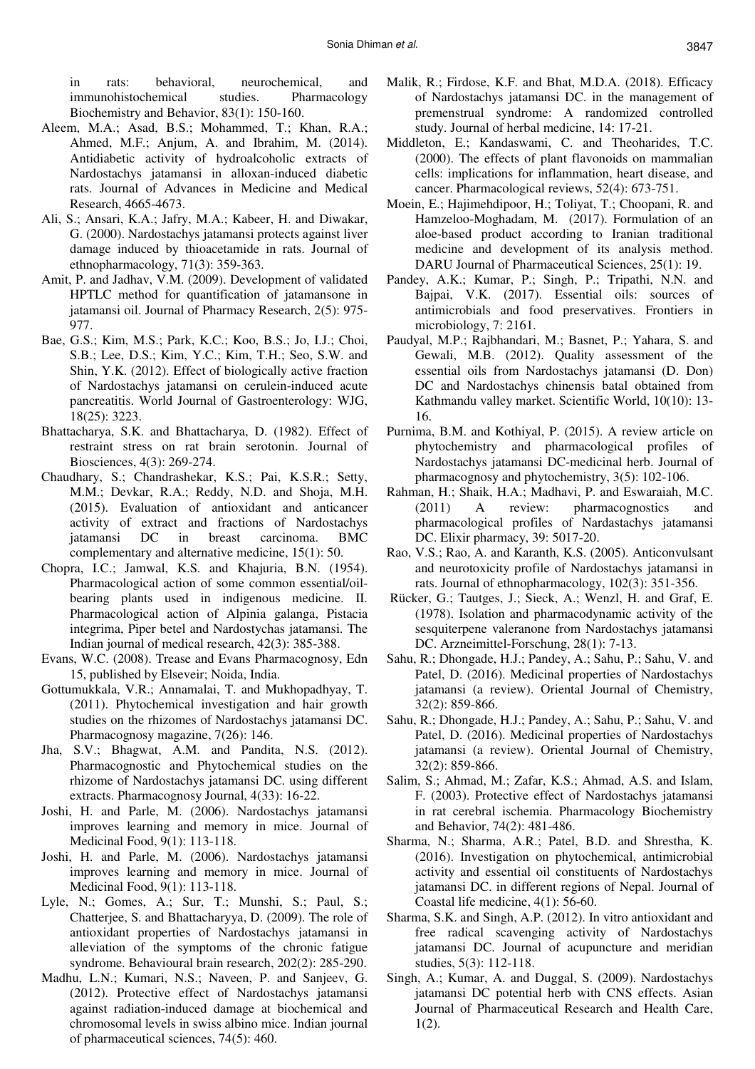in rats: behavioral, neurochemical, and immunohistochemical studies. Pharmacology Biochemistry and Behavior, 83(1): 150-160.

- Aleem, M.A.; Asad, B.S.; Mohammed, T.; Khan, R.A.; Ahmed, M.F.; Anjum, A. and Ibrahim, M. (2014). Antidiabetic activity of hydroalcoholic extracts of Nardostachys jatamansi in alloxan-induced diabetic rats. Journal of Advances in Medicine and Medical Research, 4665-4673.
- Ali, S.; Ansari, K.A.; Jafry, M.A.; Kabeer, H. and Diwakar, G. (2000). Nardostachys jatamansi protects against liver damage induced by thioacetamide in rats. Journal of ethnopharmacology, 71(3): 359-363.
- Amit, P. and Jadhav, V.M. (2009). Development of validated HPTLC method for quantification of jatamansone in jatamansi oil. Journal of Pharmacy Research, 2(5): 975- 977.
- Bae, G.S.; Kim, M.S.; Park, K.C.; Koo, B.S.; Jo, I.J.; Choi, S.B.; Lee, D.S.; Kim, Y.C.; Kim, T.H.; Seo, S.W. and Shin, Y.K. (2012). Effect of biologically active fraction of Nardostachys jatamansi on cerulein-induced acute pancreatitis. World Journal of Gastroenterology: WJG, 18(25): 3223.
- Bhattacharya, S.K. and Bhattacharya, D. (1982). Effect of restraint stress on rat brain serotonin. Journal of Biosciences, 4(3): 269-274.
- Chaudhary, S.; Chandrashekar, K.S.; Pai, K.S.R.; Setty, M.M.; Devkar, R.A.; Reddy, N.D. and Shoja, M.H. (2015). Evaluation of antioxidant and anticancer activity of extract and fractions of Nardostachys jatamansi DC in breast carcinoma. BMC complementary and alternative medicine, 15(1): 50.
- Chopra, I.C.; Jamwal, K.S. and Khajuria, B.N. (1954). Pharmacological action of some common essential/oilbearing plants used in indigenous medicine. II. Pharmacological action of Alpinia galanga, Pistacia integrima, Piper betel and Nardostychas jatamansi. The Indian journal of medical research, 42(3): 385-388.
- Evans, W.C. (2008). Trease and Evans Pharmacognosy, Edn 15, published by Elseveir; Noida, India.
- Gottumukkala, V.R.; Annamalai, T. and Mukhopadhyay, T. (2011). Phytochemical investigation and hair growth studies on the rhizomes of Nardostachys jatamansi DC. Pharmacognosy magazine, 7(26): 146.
- Jha, S.V.; Bhagwat, A.M. and Pandita, N.S. (2012). Pharmacognostic and Phytochemical studies on the rhizome of Nardostachys jatamansi DC. using different extracts. Pharmacognosy Journal, 4(33): 16-22.
- Joshi, H. and Parle, M. (2006). Nardostachys jatamansi improves learning and memory in mice. Journal of Medicinal Food, 9(1): 113-118.
- Joshi, H. and Parle, M. (2006). Nardostachys jatamansi improves learning and memory in mice. Journal of Medicinal Food, 9(1): 113-118.
- Lyle, N.; Gomes, A.; Sur, T.; Munshi, S.; Paul, S.; Chatterjee, S. and Bhattacharyya, D. (2009). The role of antioxidant properties of Nardostachys jatamansi in alleviation of the symptoms of the chronic fatigue syndrome. Behavioural brain research, 202(2): 285-290.
- Madhu, L.N.; Kumari, N.S.; Naveen, P. and Sanjeev, G. (2012). Protective effect of Nardostachys jatamansi against radiation-induced damage at biochemical and chromosomal levels in swiss albino mice. Indian journal of pharmaceutical sciences, 74(5): 460.
- Malik, R.; Firdose, K.F. and Bhat, M.D.A. (2018). Efficacy of Nardostachys jatamansi DC. in the management of premenstrual syndrome: A randomized controlled study. Journal of herbal medicine, 14: 17-21.
- Middleton, E.; Kandaswami, C. and Theoharides, T.C. (2000). The effects of plant flavonoids on mammalian cells: implications for inflammation, heart disease, and cancer. Pharmacological reviews, 52(4): 673-751.
- Moein, E.; Hajimehdipoor, H.; Toliyat, T.; Choopani, R. and Hamzeloo-Moghadam, M. (2017). Formulation of an aloe-based product according to Iranian traditional medicine and development of its analysis method. DARU Journal of Pharmaceutical Sciences, 25(1): 19.
- Pandey, A.K.; Kumar, P.; Singh, P.; Tripathi, N.N. and Bajpai, V.K. (2017). Essential oils: sources of antimicrobials and food preservatives. Frontiers in microbiology, 7: 2161.
- Paudyal, M.P.; Rajbhandari, M.; Basnet, P.; Yahara, S. and Gewali, M.B. (2012). Quality assessment of the essential oils from Nardostachys jatamansi (D. Don) DC and Nardostachys chinensis batal obtained from Kathmandu valley market. Scientific World, 10(10): 13- 16.
- Purnima, B.M. and Kothiyal, P. (2015). A review article on phytochemistry and pharmacological profiles of Nardostachys jatamansi DC-medicinal herb. Journal of pharmacognosy and phytochemistry, 3(5): 102-106.
- Rahman, H.; Shaik, H.A.; Madhavi, P. and Eswaraiah, M.C. (2011) A review: pharmacognostics and pharmacological profiles of Nardastachys jatamansi DC. Elixir pharmacy, 39: 5017-20.
- Rao, V.S.; Rao, A. and Karanth, K.S. (2005). Anticonvulsant and neurotoxicity profile of Nardostachys jatamansi in rats. Journal of ethnopharmacology, 102(3): 351-356.
- Rücker, G.; Tautges, J.; Sieck, A.; Wenzl, H. and Graf, E. (1978). Isolation and pharmacodynamic activity of the sesquiterpene valeranone from Nardostachys jatamansi DC. Arzneimittel-Forschung, 28(1): 7-13.
- Sahu, R.; Dhongade, H.J.; Pandey, A.; Sahu, P.; Sahu, V. and Patel, D. (2016). Medicinal properties of Nardostachys jatamansi (a review). Oriental Journal of Chemistry, 32(2): 859-866.
- Sahu, R.; Dhongade, H.J.; Pandey, A.; Sahu, P.; Sahu, V. and Patel, D. (2016). Medicinal properties of Nardostachys jatamansi (a review). Oriental Journal of Chemistry, 32(2): 859-866.
- Salim, S.; Ahmad, M.; Zafar, K.S.; Ahmad, A.S. and Islam, F. (2003). Protective effect of Nardostachys jatamansi in rat cerebral ischemia. Pharmacology Biochemistry and Behavior, 74(2): 481-486.
- Sharma, N.; Sharma, A.R.; Patel, B.D. and Shrestha, K. (2016). Investigation on phytochemical, antimicrobial activity and essential oil constituents of Nardostachys jatamansi DC. in different regions of Nepal. Journal of Coastal life medicine, 4(1): 56-60.
- Sharma, S.K. and Singh, A.P. (2012). In vitro antioxidant and free radical scavenging activity of Nardostachys jatamansi DC. Journal of acupuncture and meridian studies, 5(3): 112-118.
- Singh, A.; Kumar, A. and Duggal, S. (2009). Nardostachys jatamansi DC potential herb with CNS effects. Asian Journal of Pharmaceutical Research and Health Care, 1(2).